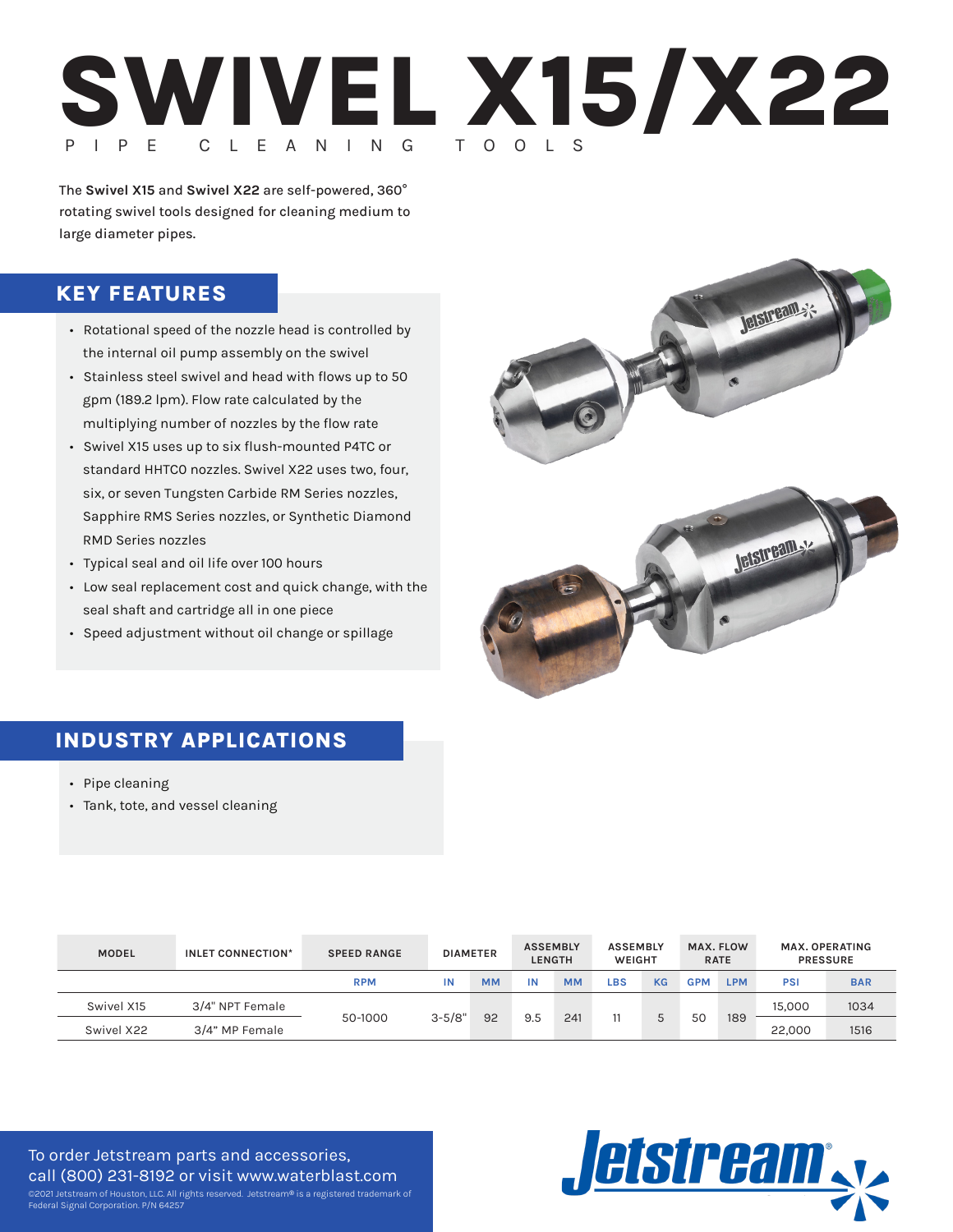

The **Swivel X15** and **Swivel X22** are self-powered, 360° rotating swivel tools designed for cleaning medium to large diameter pipes.

## **KEY FEATURES**

- Rotational speed of the nozzle head is controlled by the internal oil pump assembly on the swivel
- Stainless steel swivel and head with flows up to 50 gpm (189.2 lpm). Flow rate calculated by the multiplying number of nozzles by the flow rate
- Swivel X15 uses up to six flush-mounted P4TC or standard HHTC0 nozzles. Swivel X22 uses two, four, six, or seven Tungsten Carbide RM Series nozzles, Sapphire RMS Series nozzles, or Synthetic Diamond RMD Series nozzles
- Typical seal and oil life over 100 hours
- Low seal replacement cost and quick change, with the seal shaft and cartridge all in one piece
- Speed adjustment without oil change or spillage



# **INDUSTRY APPLICATIONS**

- Pipe cleaning
- Tank, tote, and vessel cleaning

| <b>MODEL</b> | INLET CONNECTION* | <b>SPEED RANGE</b> | <b>DIAMETER</b> |           | <b>ASSEMBLY</b> | <b>LENGTH</b> | <b>ASSEMBLY</b><br>WEIGHT |           |            | MAX. FLOW<br><b>RATE</b> |        | MAX. OPERATING<br><b>PRESSURE</b> |
|--------------|-------------------|--------------------|-----------------|-----------|-----------------|---------------|---------------------------|-----------|------------|--------------------------|--------|-----------------------------------|
|              |                   | <b>RPM</b>         | ΙN              | <b>MM</b> | IN              | <b>MM</b>     | LBS                       | <b>KG</b> | <b>GPM</b> | <b>LPM</b>               | PSI    | <b>BAR</b>                        |
| Swivel X15   | 3/4" NPT Female   | 50-1000            | $3 - 5/8"$      | 92        | 9.5             | 241           |                           |           | 50         | 189                      | 15,000 | 1034                              |
| Swivel X22   | 3/4" MP Female    |                    |                 |           |                 |               |                           |           |            |                          | 22,000 | 1516                              |

To order Jetstream parts and accessories, call (800) 231-8192 or visit [www.waterblast.com](https://www.waterblast.com/) ©2021 Jetstream of Houston, LLC. All rights reserved. Jetstream® is a registered trademark of Federal Signal Corporation. P/N 64257